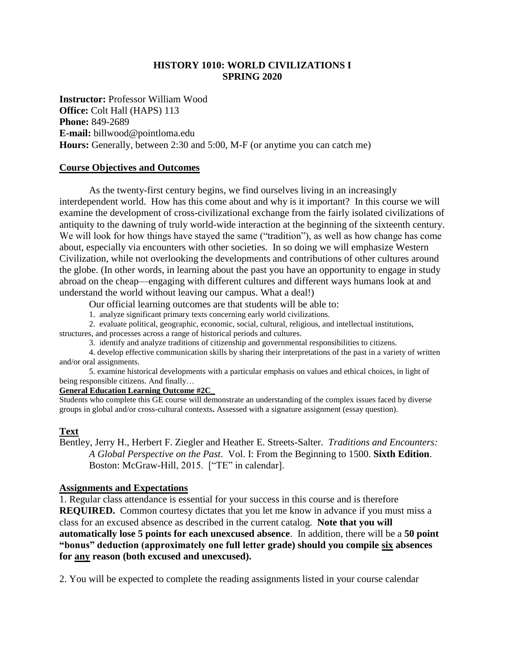## **HISTORY 1010: WORLD CIVILIZATIONS I SPRING 2020**

**Instructor:** Professor William Wood **Office:** Colt Hall (HAPS) 113 **Phone:** 849-2689 **E-mail:** billwood@pointloma.edu **Hours:** Generally, between 2:30 and 5:00, M-F (or anytime you can catch me)

#### **Course Objectives and Outcomes**

As the twenty-first century begins, we find ourselves living in an increasingly interdependent world. How has this come about and why is it important? In this course we will examine the development of cross-civilizational exchange from the fairly isolated civilizations of antiquity to the dawning of truly world-wide interaction at the beginning of the sixteenth century. We will look for how things have stayed the same ("tradition"), as well as how change has come about, especially via encounters with other societies. In so doing we will emphasize Western Civilization, while not overlooking the developments and contributions of other cultures around the globe. (In other words, in learning about the past you have an opportunity to engage in study abroad on the cheap—engaging with different cultures and different ways humans look at and understand the world without leaving our campus. What a deal!)

Our official learning outcomes are that students will be able to:

1. analyze significant primary texts concerning early world civilizations.

2. evaluate political, geographic, economic, social, cultural, religious, and intellectual institutions, structures, and processes across a range of historical periods and cultures.

3. identify and analyze traditions of citizenship and governmental responsibilities to citizens.

4. develop effective communication skills by sharing their interpretations of the past in a variety of written and/or oral assignments.

5. examine historical developments with a particular emphasis on values and ethical choices, in light of being responsible citizens. And finally…

## **General Education Learning Outcome #2C\_**

Students who complete this GE course will demonstrate an understanding of the complex issues faced by diverse groups in global and/or cross-cultural contexts**.** Assessed with a signature assignment (essay question).

### **Text**

Bentley, Jerry H., Herbert F. Ziegler and Heather E. Streets-Salter. *Traditions and Encounters: A Global Perspective on the Past*. Vol. I: From the Beginning to 1500. **Sixth Edition**. Boston: McGraw-Hill, 2015. ["TE" in calendar].

#### **Assignments and Expectations**

1. Regular class attendance is essential for your success in this course and is therefore **REQUIRED.** Common courtesy dictates that you let me know in advance if you must miss a class for an excused absence as described in the current catalog. **Note that you will automatically lose 5 points for each unexcused absence**. In addition, there will be a **50 point "bonus" deduction (approximately one full letter grade) should you compile six absences for any reason (both excused and unexcused).**

2. You will be expected to complete the reading assignments listed in your course calendar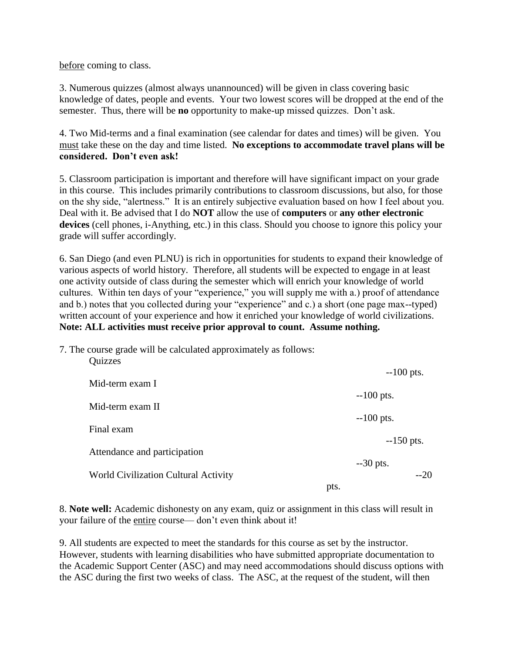before coming to class.

3. Numerous quizzes (almost always unannounced) will be given in class covering basic knowledge of dates, people and events. Your two lowest scores will be dropped at the end of the semester. Thus, there will be **no** opportunity to make-up missed quizzes. Don't ask.

4. Two Mid-terms and a final examination (see calendar for dates and times) will be given. You must take these on the day and time listed. **No exceptions to accommodate travel plans will be considered. Don't even ask!**

5. Classroom participation is important and therefore will have significant impact on your grade in this course. This includes primarily contributions to classroom discussions, but also, for those on the shy side, "alertness." It is an entirely subjective evaluation based on how I feel about you. Deal with it. Be advised that I do **NOT** allow the use of **computers** or **any other electronic devices** (cell phones, i-Anything, etc.) in this class. Should you choose to ignore this policy your grade will suffer accordingly.

6. San Diego (and even PLNU) is rich in opportunities for students to expand their knowledge of various aspects of world history. Therefore, all students will be expected to engage in at least one activity outside of class during the semester which will enrich your knowledge of world cultures. Within ten days of your "experience," you will supply me with a.) proof of attendance and b.) notes that you collected during your "experience" and c.) a short (one page max--typed) written account of your experience and how it enriched your knowledge of world civilizations. **Note: ALL activities must receive prior approval to count. Assume nothing.**

7. The course grade will be calculated approximately as follows:

| Quizzes                              | $-100$ pts.         |
|--------------------------------------|---------------------|
| Mid-term exam I                      |                     |
| Mid-term exam II                     | $-100$ pts.         |
|                                      | $-100$ pts.         |
| Final exam                           |                     |
| Attendance and participation         | $-150$ pts.         |
| World Civilization Cultural Activity | $-30$ pts.<br>$-20$ |
|                                      | pts.                |

8. **Note well:** Academic dishonesty on any exam, quiz or assignment in this class will result in your failure of the entire course— don't even think about it!

9. All students are expected to meet the standards for this course as set by the instructor. However, students with learning disabilities who have submitted appropriate documentation to the Academic Support Center (ASC) and may need accommodations should discuss options with the ASC during the first two weeks of class. The ASC, at the request of the student, will then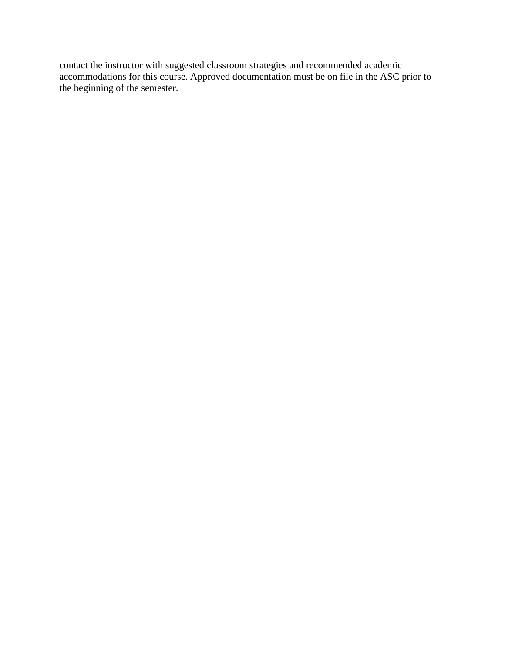contact the instructor with suggested classroom strategies and recommended academic accommodations for this course. Approved documentation must be on file in the ASC prior to the beginning of the semester.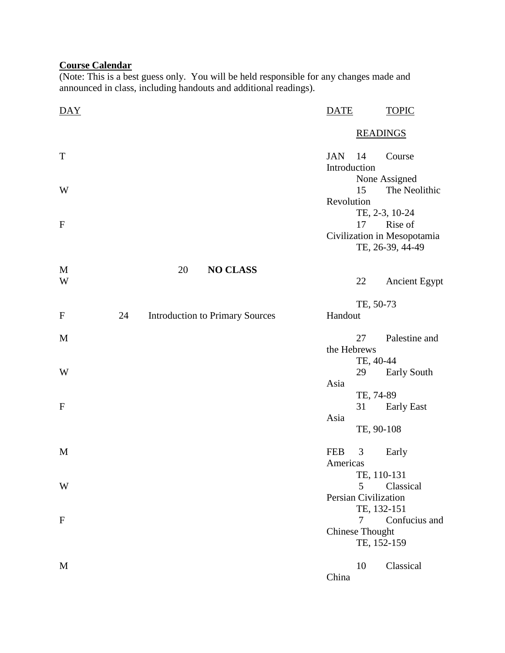### **Course Calendar**

(Note: This is a best guess only. You will be held responsible for any changes made and announced in class, including handouts and additional readings).

| DAY          |    |    |                                        | <b>DATE</b>                |                                       | <b>TOPIC</b>                                               |  |
|--------------|----|----|----------------------------------------|----------------------------|---------------------------------------|------------------------------------------------------------|--|
|              |    |    |                                        |                            | <b>READINGS</b>                       |                                                            |  |
| $\mathbf T$  |    |    |                                        | <b>JAN</b><br>Introduction | 14                                    | Course                                                     |  |
| W            |    |    |                                        |                            | 15                                    | None Assigned<br>The Neolithic                             |  |
|              |    |    |                                        | Revolution                 |                                       | TE, 2-3, 10-24                                             |  |
| $\mathbf{F}$ |    |    |                                        |                            | 17                                    | Rise of<br>Civilization in Mesopotamia<br>TE, 26-39, 44-49 |  |
| M            |    | 20 | <b>NO CLASS</b>                        |                            |                                       |                                                            |  |
| W            |    |    |                                        |                            | 22                                    | <b>Ancient Egypt</b>                                       |  |
| $\mathbf F$  | 24 |    | <b>Introduction to Primary Sources</b> | Handout                    | TE, 50-73                             |                                                            |  |
| M            |    |    |                                        |                            | 27                                    | Palestine and                                              |  |
|              |    |    |                                        | the Hebrews                | TE, 40-44                             |                                                            |  |
| W            |    |    |                                        | Asia                       | 29                                    | <b>Early South</b>                                         |  |
|              |    |    |                                        |                            | TE, 74-89                             |                                                            |  |
| ${\bf F}$    |    |    |                                        | Asia                       | 31                                    | <b>Early East</b>                                          |  |
|              |    |    |                                        |                            | TE, 90-108                            |                                                            |  |
| M            |    |    |                                        | <b>FEB</b><br>Americas     | 3                                     | Early                                                      |  |
|              |    |    |                                        |                            | TE, 110-131                           |                                                            |  |
| W            |    |    |                                        |                            | 5<br><b>Persian Civilization</b>      | Classical                                                  |  |
| $\mathbf{F}$ |    |    |                                        |                            | TE, 132-151<br>7                      | Confucius and                                              |  |
|              |    |    |                                        |                            | <b>Chinese Thought</b><br>TE, 152-159 |                                                            |  |
| M            |    |    |                                        | China                      | 10                                    | Classical                                                  |  |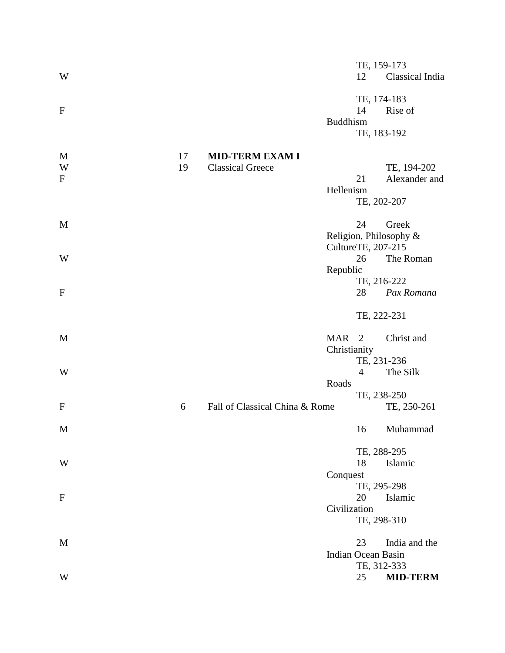| W                                         |          |                                                   |                                  | TE, 159-173<br>12                | Classical India                 |
|-------------------------------------------|----------|---------------------------------------------------|----------------------------------|----------------------------------|---------------------------------|
| $\mathbf F$                               |          |                                                   | <b>Buddhism</b>                  | TE, 174-183<br>14<br>TE, 183-192 | Rise of                         |
| M<br>$\ensuremath{\text{W}}$<br>${\bf F}$ | 17<br>19 | <b>MID-TERM EXAM I</b><br><b>Classical Greece</b> | Hellenism                        | 21<br>TE, 202-207                | TE, 194-202<br>Alexander and    |
| M                                         |          |                                                   |                                  | 24                               | Greek<br>Religion, Philosophy & |
| W                                         |          |                                                   | Republic                         | CultureTE, 207-215<br>26         | The Roman                       |
| $\mathbf{F}$                              |          |                                                   |                                  | TE, 216-222<br>28                | Pax Romana                      |
|                                           |          |                                                   |                                  | TE, 222-231                      |                                 |
| M                                         |          |                                                   | MAR <sub>2</sub><br>Christianity |                                  | Christ and                      |
| W                                         |          |                                                   | Roads                            | TE, 231-236<br>$\overline{4}$    | The Silk                        |
| $\mathbf{F}$                              | 6        | Fall of Classical China & Rome                    |                                  | TE, 238-250                      | TE, 250-261                     |
| M                                         |          |                                                   |                                  |                                  | 16 Muhammad                     |
| W                                         |          |                                                   | Conquest                         | TE, 288-295<br>18                | Islamic                         |
| $\mathbf{F}$                              |          |                                                   | Civilization                     | TE, 295-298<br>20<br>TE, 298-310 | Islamic                         |
| M                                         |          |                                                   |                                  | 23<br>Indian Ocean Basin         | India and the                   |
| W                                         |          |                                                   |                                  | TE, 312-333<br>25                | <b>MID-TERM</b>                 |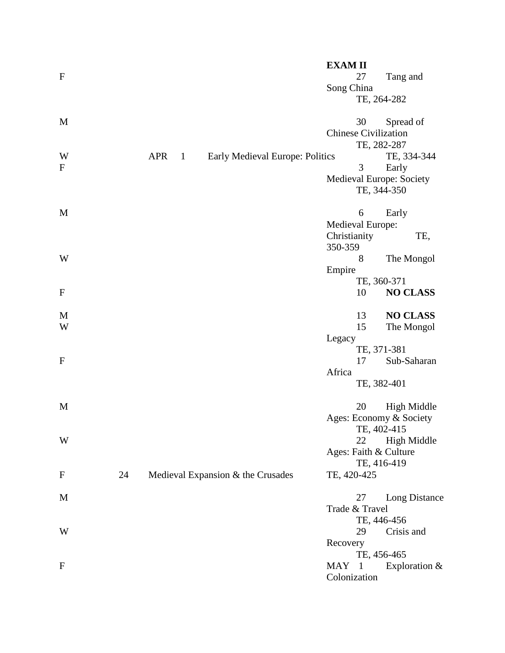|              |    |            |              |                                   |                                        | <b>EXAMII</b>               |             |                          |
|--------------|----|------------|--------------|-----------------------------------|----------------------------------------|-----------------------------|-------------|--------------------------|
| $\mathbf{F}$ |    |            |              |                                   |                                        |                             | 27          | Tang and                 |
|              |    |            |              |                                   |                                        | Song China                  |             |                          |
|              |    |            |              |                                   |                                        |                             | TE, 264-282 |                          |
| M            |    |            |              |                                   |                                        |                             | 30          | Spread of                |
|              |    |            |              |                                   |                                        | <b>Chinese Civilization</b> |             |                          |
|              |    |            |              |                                   |                                        |                             | TE, 282-287 |                          |
| W            |    | <b>APR</b> | $\mathbf{1}$ |                                   | <b>Early Medieval Europe: Politics</b> |                             |             | TE, 334-344              |
| $\mathbf F$  |    |            |              |                                   |                                        |                             | 3           | Early                    |
|              |    |            |              |                                   |                                        |                             |             | Medieval Europe: Society |
|              |    |            |              |                                   |                                        |                             | TE, 344-350 |                          |
| M            |    |            |              |                                   |                                        |                             | 6           | Early                    |
|              |    |            |              |                                   |                                        | <b>Medieval Europe:</b>     |             |                          |
|              |    |            |              |                                   |                                        | Christianity                |             | TE,                      |
|              |    |            |              |                                   |                                        | 350-359                     |             |                          |
| W            |    |            |              |                                   |                                        |                             | 8           | The Mongol               |
|              |    |            |              |                                   |                                        | Empire                      |             |                          |
|              |    |            |              |                                   |                                        |                             | TE, 360-371 |                          |
| $\mathbf{F}$ |    |            |              |                                   |                                        |                             | 10          | <b>NO CLASS</b>          |
| M            |    |            |              |                                   |                                        |                             | 13          | <b>NO CLASS</b>          |
| W            |    |            |              |                                   |                                        |                             | 15          | The Mongol               |
|              |    |            |              |                                   |                                        | Legacy                      |             |                          |
|              |    |            |              |                                   |                                        |                             | TE, 371-381 |                          |
| $\mathbf{F}$ |    |            |              |                                   |                                        |                             | 17          | Sub-Saharan              |
|              |    |            |              |                                   |                                        | Africa                      |             |                          |
|              |    |            |              |                                   |                                        |                             | TE, 382-401 |                          |
| M            |    |            |              |                                   |                                        |                             | 20          | <b>High Middle</b>       |
|              |    |            |              |                                   |                                        |                             |             | Ages: Economy & Society  |
|              |    |            |              |                                   |                                        |                             | TE, 402-415 |                          |
| W            |    |            |              |                                   |                                        |                             | 22          | <b>High Middle</b>       |
|              |    |            |              |                                   |                                        |                             |             | Ages: Faith & Culture    |
|              |    |            |              |                                   |                                        |                             | TE, 416-419 |                          |
| ${\bf F}$    | 24 |            |              | Medieval Expansion & the Crusades |                                        | TE, 420-425                 |             |                          |
| M            |    |            |              |                                   |                                        |                             | 27          | Long Distance            |
|              |    |            |              |                                   |                                        | Trade & Travel              |             |                          |
|              |    |            |              |                                   |                                        |                             | TE, 446-456 |                          |
| W            |    |            |              |                                   |                                        |                             | 29          | Crisis and               |
|              |    |            |              |                                   |                                        | Recovery                    |             |                          |
|              |    |            |              |                                   |                                        |                             | TE, 456-465 |                          |
| $\mathbf F$  |    |            |              |                                   |                                        | MAY 1                       |             | Exploration $&$          |
|              |    |            |              |                                   |                                        | Colonization                |             |                          |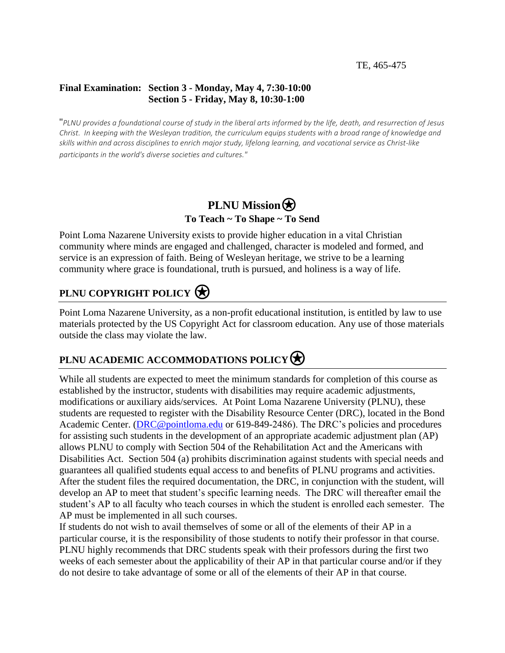#### TE, 465-475

## **Final Examination: Section 3 - Monday, May 4, 7:30-10:00 Section 5 - Friday, May 8, 10:30-1:00**

"*PLNU provides a foundational course of study in the liberal arts informed by the life, death, and resurrection of Jesus Christ. In keeping with the Wesleyan tradition, the curriculum equips students with a broad range of knowledge and skills within and across disciplines to enrich major study, lifelong learning, and vocational service as Christ-like participants in the world's diverse societies and cultures."*

## **PLNU Mission To Teach ~ To Shape ~ To Send**

Point Loma Nazarene University exists to provide higher education in a vital Christian community where minds are engaged and challenged, character is modeled and formed, and service is an expression of faith. Being of Wesleyan heritage, we strive to be a learning community where grace is foundational, truth is pursued, and holiness is a way of life.

# **PLNU COPYRIGHT POLICY**

Point Loma Nazarene University, as a non-profit educational institution, is entitled by law to use materials protected by the US Copyright Act for classroom education. Any use of those materials outside the class may violate the law.

# **PLNU ACADEMIC ACCOMMODATIONS POLICY**

While all students are expected to meet the minimum standards for completion of this course as established by the instructor, students with disabilities may require academic adjustments, modifications or auxiliary aids/services. At Point Loma Nazarene University (PLNU), these students are requested to register with the Disability Resource Center (DRC), located in the Bond Academic Center. [\(DRC@pointloma.edu](mailto:DRC@pointloma.edu) or 619-849-2486). The DRC's policies and procedures for assisting such students in the development of an appropriate academic adjustment plan (AP) allows PLNU to comply with Section 504 of the Rehabilitation Act and the Americans with Disabilities Act. Section 504 (a) prohibits discrimination against students with special needs and guarantees all qualified students equal access to and benefits of PLNU programs and activities. After the student files the required documentation, the DRC, in conjunction with the student, will develop an AP to meet that student's specific learning needs. The DRC will thereafter email the student's AP to all faculty who teach courses in which the student is enrolled each semester. The AP must be implemented in all such courses.

If students do not wish to avail themselves of some or all of the elements of their AP in a particular course, it is the responsibility of those students to notify their professor in that course. PLNU highly recommends that DRC students speak with their professors during the first two weeks of each semester about the applicability of their AP in that particular course and/or if they do not desire to take advantage of some or all of the elements of their AP in that course.